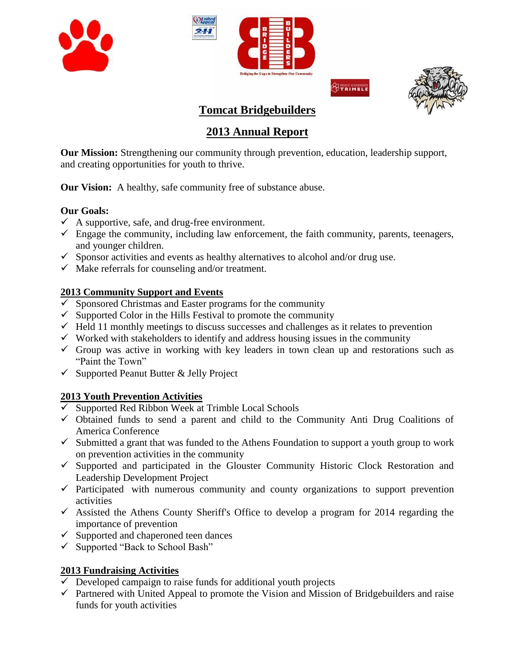







# **Tomcat Bridgebuilders**

# **2013 Annual Report**

**Our Mission:** Strengthening our community through prevention, education, leadership support, and creating opportunities for youth to thrive.

**Our Vision:** A healthy, safe community free of substance abuse.

## **Our Goals:**

- $\checkmark$  A supportive, safe, and drug-free environment.
- $\checkmark$  Engage the community, including law enforcement, the faith community, parents, teenagers, and younger children.
- $\checkmark$  Sponsor activities and events as healthy alternatives to alcohol and/or drug use.
- $\checkmark$  Make referrals for counseling and/or treatment.

## **2013 Community Support and Events**

- $\checkmark$  Sponsored Christmas and Easter programs for the community
- $\checkmark$  Supported Color in the Hills Festival to promote the community
- $\checkmark$  Held 11 monthly meetings to discuss successes and challenges as it relates to prevention
- $\checkmark$  Worked with stakeholders to identify and address housing issues in the community
- $\checkmark$  Group was active in working with key leaders in town clean up and restorations such as "Paint the Town"
- $\checkmark$  Supported Peanut Butter & Jelly Project

## **2013 Youth Prevention Activities**

- $\overline{\smash{\checkmark}}$  Supported Red Ribbon Week at Trimble Local Schools
- $\checkmark$  Obtained funds to send a parent and child to the Community Anti Drug Coalitions of America Conference
- $\checkmark$  Submitted a grant that was funded to the Athens Foundation to support a youth group to work on prevention activities in the community
- $\checkmark$  Supported and participated in the Glouster Community Historic Clock Restoration and Leadership Development Project
- $\checkmark$  Participated with numerous community and county organizations to support prevention activities
- $\checkmark$  Assisted the Athens County Sheriff's Office to develop a program for 2014 regarding the importance of prevention
- $\checkmark$  Supported and chaperoned teen dances
- $\checkmark$  Supported "Back to School Bash"

## **2013 Fundraising Activities**

- $\overline{\smash{\checkmark}}$  Developed campaign to raise funds for additional youth projects
- $\checkmark$  Partnered with United Appeal to promote the Vision and Mission of Bridgebuilders and raise funds for youth activities